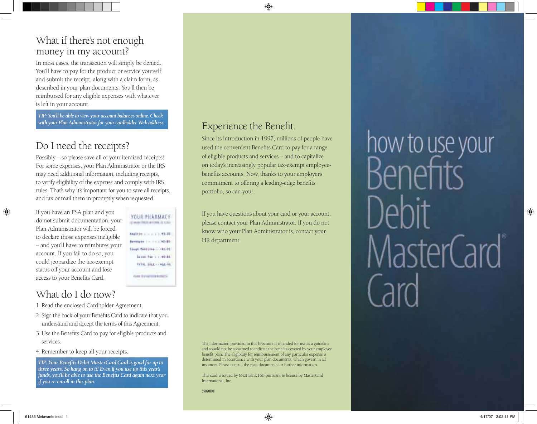#### What if there's not enough money in my account?

In most cases, the transaction will simply be denied. You'll have to pay for the product or service yourself and submit the receipt, along with a claim form, as described in your plan documents. You'll then be reimbursed for any eligible expenses with whatever is left in your account.

*TIP: You'll be able to view your account balances online. Check with your Plan Administrator for your cardholder Web address.*

## Do I need the receipts?

Possibly – so please save all of your itemized receipts! For some expenses, your Plan Administrator or the IRS may need additional information, including receipts, to verify eligibility of the expense and comply with IRS rules. That's why it's important for you to save all receipts, and fax or mail them in promptly when requested.

If you have an FSA plan and you do not submit documentation, your Plan Administrator will be forced to declare those expenses ineligible – and you'll have to reimburse your account. If you fail to do so, you could jeopardize the tax-exempt status off your account and lose access to your Benefits Card.

YOUR PHARMACY (Chevroleton Common, 21 300 p.m.) AMSTER JULY 1, 1, 93-88. **Beneated and Constant** Singh Bastille ... (\$520) Sizes for 1 1, 40-26 TITAL SALE - 1938-10. **Germany Committees** 

# What do I do now?

- 1.Read the enclosed Cardholder Agreement.
- 2. Sign the back of your Benefits Card to indicate that you understand and accept the terms of this Agreement.
- 3.Use the Benefits Card to pay for eligible products and services.
- 4.Remember to keep all your receipts.

*TIP: Your Benefits Debit MasterCard Card is good for up to three years. So hang on to it! Even if you use up this year's funds, you'll be able to use the Benefits Card again next year if you re-enroll in this plan.*

### Experience the Benefit.

Since its introduction in 1997, millions of people have used the convenient Benefits Card to pay for a range of eligible products and services – and to capitalize on today's increasingly popular tax-exempt employeebenefits accounts. Now, thanks to your employer's commitment to offering a leading-edge benefits portfolio, so can you!

If you have questions about your card or your account, please contact your Plan Administrator. If you do not know who your Plan Administrator is, contact your HR department.

The information provided in this brochure is intended for use as a guideline and should not be construed to indicate the benefits covered by your employee benefit plan. The eligibility for reimbursement of any particular expense is determined in accordance with your plan documents, which govern in all instances. Please consult the plan documents for further information.

This card is issued by M&I Bank FSB pursuant to license by MasterCard International, Inc.

how to use your MasterCard